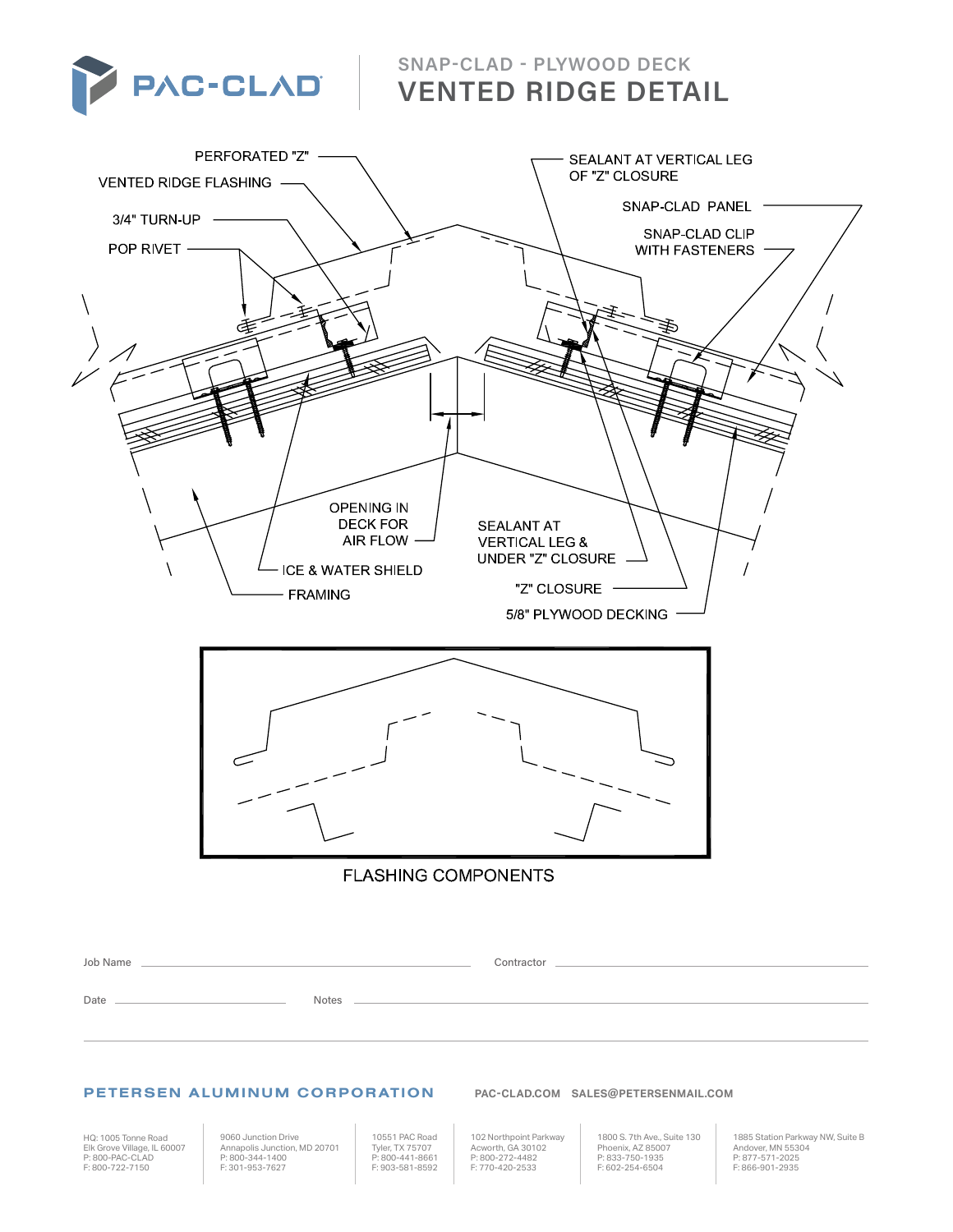

**SNAP-CLAD - PLYWOOD DECK VENTED RIDGE DETAIL**



## PETERSEN ALUMINUM CORPORATION **PAC-CLAD.COM SALES@PETERSENMAIL.COM** PETERSEN ALUMINUM CORPORATION **PAC-CLAD.COM SALES@PETERSENMAIL.COM**

HQ: 1005 Tonne Road 1005 Tonne Road Elk Grove Village, IL 60007 P: 800-PAC-CLAD F: 800-722-7150 **F** 800 722 7150 Elk Grove Village, IL 60007 **P: 800-PAC-CLAD** 

9060 Junction Drive Annapolis Junction, MD 20701 P: 800-344-1400 F: 301-953-7627 9060 Junction Drive Nutuun Drive<br>is Junction, MD 20701 Tyler TX **F** 301 953 7627

10551 PAC Road Tyler, TX 75707 P: 800-441-8661 F: 903-581-8592

102 Northpoint Parkway Acworth, GA 30102 P: 800-272-4482 **F**: 770-420-2533 10551 PAC Road TUZ NOLUIPOILI<br>Acworth GA 30 P: 800-272-448

1800 S. 7th Ave., Suite 130 Phoenix, AZ 85007 P: 833-750-1935 **F: 602-254-6504** rouu 3. zurrave., 3unu<br>Phoenix A7 85007

1885 Station Parkway NW, Suite B Andover, MN 55304 P: 877-571-2025 F: 866-901-2935 **F** 866 901 2935 roop plation Farkway ivvv,<br>Andover, MN 55304